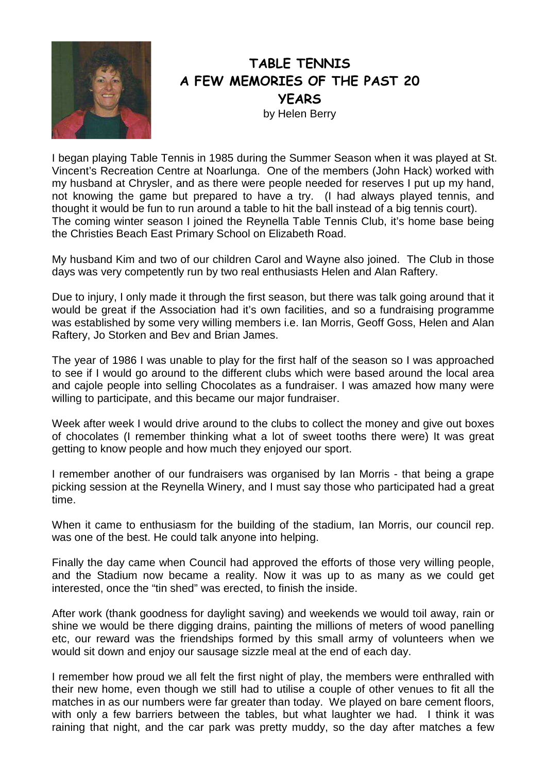

## TABLE TENNIS A FEW MEMORIES OF THE PAST 20 **YEARS** by Helen Berry

I began playing Table Tennis in 1985 during the Summer Season when it was played at St. Vincent's Recreation Centre at Noarlunga. One of the members (John Hack) worked with my husband at Chrysler, and as there were people needed for reserves I put up my hand, not knowing the game but prepared to have a try. (I had always played tennis, and thought it would be fun to run around a table to hit the ball instead of a big tennis court). The coming winter season I joined the Reynella Table Tennis Club, it's home base being the Christies Beach East Primary School on Elizabeth Road.

My husband Kim and two of our children Carol and Wayne also joined. The Club in those days was very competently run by two real enthusiasts Helen and Alan Raftery.

Due to injury, I only made it through the first season, but there was talk going around that it would be great if the Association had it's own facilities, and so a fundraising programme was established by some very willing members i.e. Ian Morris, Geoff Goss, Helen and Alan Raftery, Jo Storken and Bev and Brian James.

The year of 1986 I was unable to play for the first half of the season so I was approached to see if I would go around to the different clubs which were based around the local area and cajole people into selling Chocolates as a fundraiser. I was amazed how many were willing to participate, and this became our major fundraiser.

Week after week I would drive around to the clubs to collect the money and give out boxes of chocolates (I remember thinking what a lot of sweet tooths there were) It was great getting to know people and how much they enjoyed our sport.

I remember another of our fundraisers was organised by Ian Morris - that being a grape picking session at the Reynella Winery, and I must say those who participated had a great time.

When it came to enthusiasm for the building of the stadium, Ian Morris, our council rep. was one of the best. He could talk anyone into helping.

Finally the day came when Council had approved the efforts of those very willing people, and the Stadium now became a reality. Now it was up to as many as we could get interested, once the "tin shed" was erected, to finish the inside.

After work (thank goodness for daylight saving) and weekends we would toil away, rain or shine we would be there digging drains, painting the millions of meters of wood panelling etc, our reward was the friendships formed by this small army of volunteers when we would sit down and enjoy our sausage sizzle meal at the end of each day.

I remember how proud we all felt the first night of play, the members were enthralled with their new home, even though we still had to utilise a couple of other venues to fit all the matches in as our numbers were far greater than today. We played on bare cement floors, with only a few barriers between the tables, but what laughter we had. I think it was raining that night, and the car park was pretty muddy, so the day after matches a few